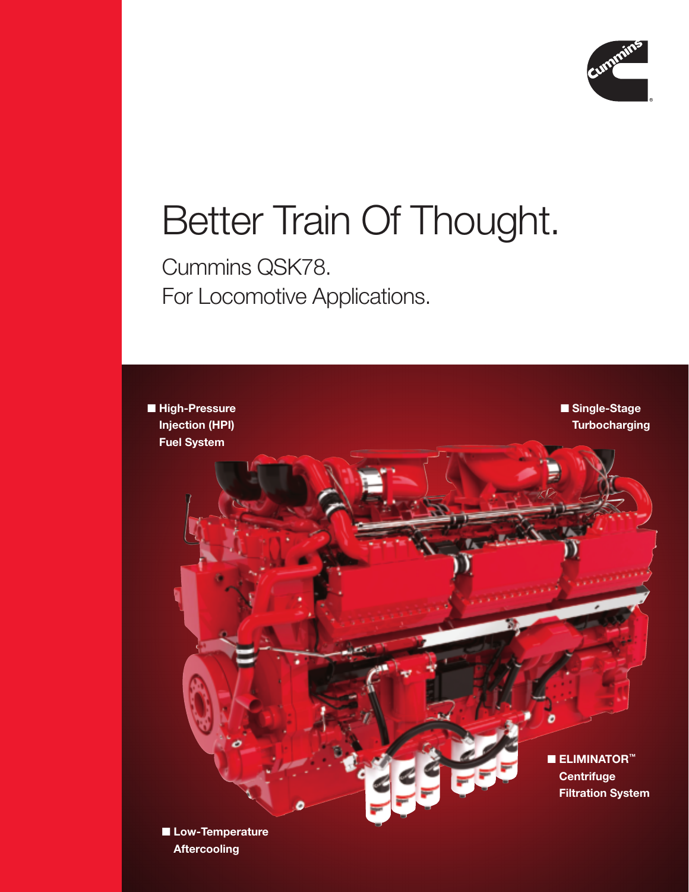

## Better Train Of Thought.

Cummins QSK78. For Locomotive Applications.